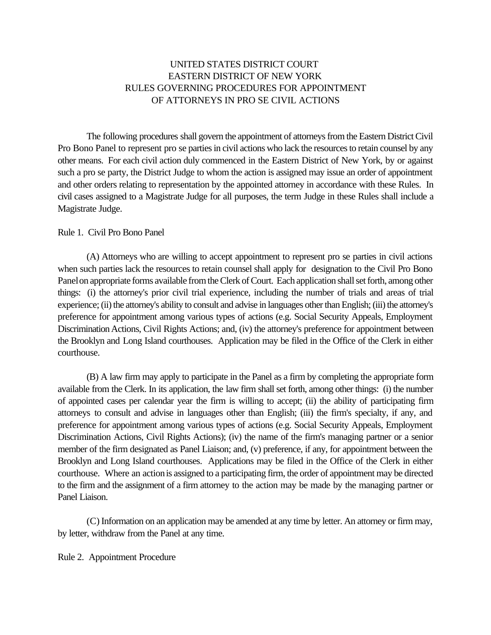# UNITED STATES DISTRICT COURT EASTERN DISTRICT OF NEW YORK RULES GOVERNING PROCEDURES FOR APPOINTMENT OF ATTORNEYS IN PRO SE CIVIL ACTIONS

The following procedures shall govern the appointment of attorneys from the Eastern District Civil Pro Bono Panel to represent pro se parties in civil actions who lack the resources to retain counsel by any other means. For each civil action duly commenced in the Eastern District of New York, by or against such a pro se party, the District Judge to whom the action is assigned may issue an order of appointment and other orders relating to representation by the appointed attorney in accordance with these Rules. In civil cases assigned to a Magistrate Judge for all purposes, the term Judge in these Rules shall include a Magistrate Judge.

#### Rule 1. Civil Pro Bono Panel

(A) Attorneys who are willing to accept appointment to represent pro se parties in civil actions when such parties lack the resources to retain counsel shall apply for designation to the Civil Pro Bono Panel on appropriate forms available from the Clerk of Court. Each application shall set forth, among other things: (i) the attorney's prior civil trial experience, including the number of trials and areas of trial experience; (ii) the attorney's ability to consult and advise in languages other than English; (iii) the attorney's preference for appointment among various types of actions (e.g. Social Security Appeals, Employment Discrimination Actions, Civil Rights Actions; and, (iv) the attorney's preference for appointment between the Brooklyn and Long Island courthouses. Application may be filed in the Office of the Clerk in either courthouse.

(B) A law firm may apply to participate in the Panel as a firm by completing the appropriate form available from the Clerk. In its application, the law firm shall set forth, among other things: (i) the number of appointed cases per calendar year the firm is willing to accept; (ii) the ability of participating firm attorneys to consult and advise in languages other than English; (iii) the firm's specialty, if any, and preference for appointment among various types of actions (e.g. Social Security Appeals, Employment Discrimination Actions, Civil Rights Actions); (iv) the name of the firm's managing partner or a senior member of the firm designated as Panel Liaison; and, (v) preference, if any, for appointment between the Brooklyn and Long Island courthouses. Applications may be filed in the Office of the Clerk in either courthouse. Where an action is assigned to a participating firm, the order of appointment may be directed to the firm and the assignment of a firm attorney to the action may be made by the managing partner or Panel Liaison.

(C) Information on an application may be amended at any time by letter. An attorney or firm may, by letter, withdraw from the Panel at any time.

Rule 2. Appointment Procedure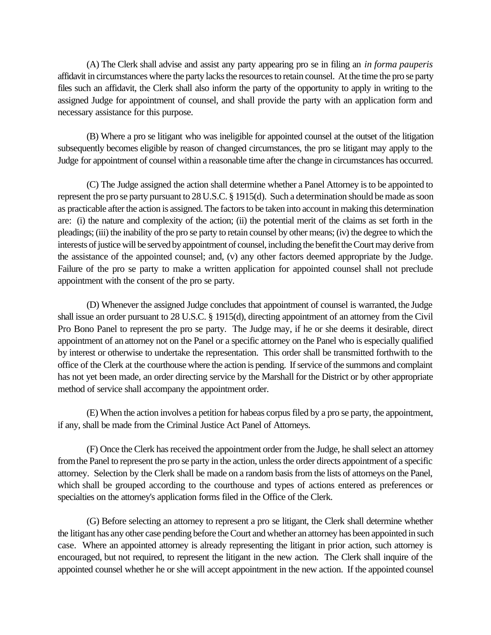(A) The Clerk shall advise and assist any party appearing pro se in filing an *in forma pauperis* affidavit in circumstances where the party lacks the resources to retain counsel. At the time the pro se party files such an affidavit, the Clerk shall also inform the party of the opportunity to apply in writing to the assigned Judge for appointment of counsel, and shall provide the party with an application form and necessary assistance for this purpose.

(B) Where a pro se litigant who was ineligible for appointed counsel at the outset of the litigation subsequently becomes eligible by reason of changed circumstances, the pro se litigant may apply to the Judge for appointment of counsel within a reasonable time after the change in circumstances has occurred.

(C) The Judge assigned the action shall determine whether a Panel Attorney is to be appointed to represent the pro se party pursuant to 28 U.S.C. § 1915(d). Such a determination should be made as soon as practicable after the action is assigned. The factors to be taken into account in making this determination are: (i) the nature and complexity of the action; (ii) the potential merit of the claims as set forth in the pleadings; (iii) the inability of the pro se party to retain counsel by other means; (iv) the degree to which the interests of justice will be served by appointment of counsel, including the benefit the Court may derive from the assistance of the appointed counsel; and, (v) any other factors deemed appropriate by the Judge. Failure of the pro se party to make a written application for appointed counsel shall not preclude appointment with the consent of the pro se party.

(D) Whenever the assigned Judge concludes that appointment of counsel is warranted, the Judge shall issue an order pursuant to 28 U.S.C. § 1915(d), directing appointment of an attorney from the Civil Pro Bono Panel to represent the pro se party. The Judge may, if he or she deems it desirable, direct appointment of an attorney not on the Panel or a specific attorney on the Panel who is especially qualified by interest or otherwise to undertake the representation. This order shall be transmitted forthwith to the office of the Clerk at the courthouse where the action is pending. If service of the summons and complaint has not yet been made, an order directing service by the Marshall for the District or by other appropriate method of service shall accompany the appointment order.

(E) When the action involves a petition for habeas corpus filed by a pro se party, the appointment, if any, shall be made from the Criminal Justice Act Panel of Attorneys.

(F) Once the Clerk has received the appointment order from the Judge, he shall select an attorney from the Panel to represent the pro se party in the action, unless the order directs appointment of a specific attorney. Selection by the Clerk shall be made on a random basis from the lists of attorneys on the Panel, which shall be grouped according to the courthouse and types of actions entered as preferences or specialties on the attorney's application forms filed in the Office of the Clerk.

(G) Before selecting an attorney to represent a pro se litigant, the Clerk shall determine whether the litigant has any other case pending before the Court and whether an attorney has been appointed in such case. Where an appointed attorney is already representing the litigant in prior action, such attorney is encouraged, but not required, to represent the litigant in the new action. The Clerk shall inquire of the appointed counsel whether he or she will accept appointment in the new action. If the appointed counsel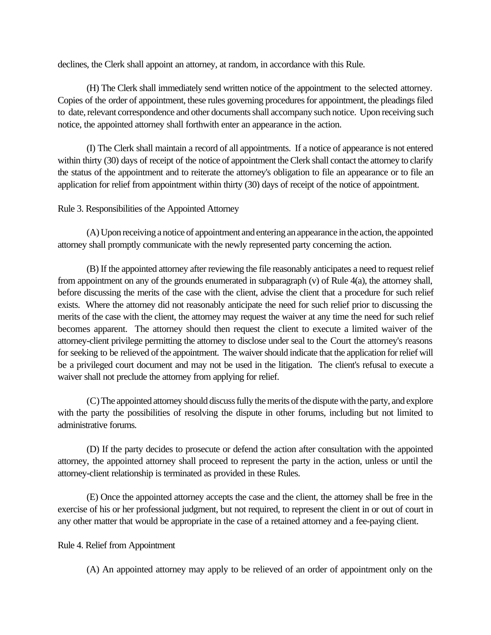declines, the Clerk shall appoint an attorney, at random, in accordance with this Rule.

(H) The Clerk shall immediately send written notice of the appointment to the selected attorney. Copies of the order of appointment, these rules governing procedures for appointment, the pleadings filed to date, relevant correspondence and other documents shall accompany such notice. Upon receiving such notice, the appointed attorney shall forthwith enter an appearance in the action.

(I) The Clerk shall maintain a record of all appointments. If a notice of appearance is not entered within thirty (30) days of receipt of the notice of appointment the Clerk shall contact the attorney to clarify the status of the appointment and to reiterate the attorney's obligation to file an appearance or to file an application for relief from appointment within thirty (30) days of receipt of the notice of appointment.

## Rule 3. Responsibilities of the Appointed Attorney

(A) Upon receiving a notice of appointment and entering an appearance in the action, the appointed attorney shall promptly communicate with the newly represented party concerning the action.

(B) If the appointed attorney after reviewing the file reasonably anticipates a need to request relief from appointment on any of the grounds enumerated in subparagraph (v) of Rule 4(a), the attorney shall, before discussing the merits of the case with the client, advise the client that a procedure for such relief exists. Where the attorney did not reasonably anticipate the need for such relief prior to discussing the merits of the case with the client, the attorney may request the waiver at any time the need for such relief becomes apparent. The attorney should then request the client to execute a limited waiver of the attorney-client privilege permitting the attorney to disclose under seal to the Court the attorney's reasons for seeking to be relieved of the appointment. The waiver should indicate that the application for relief will be a privileged court document and may not be used in the litigation. The client's refusal to execute a waiver shall not preclude the attorney from applying for relief.

(C) The appointed attorney should discuss fully the merits of the dispute with the party, and explore with the party the possibilities of resolving the dispute in other forums, including but not limited to administrative forums.

(D) If the party decides to prosecute or defend the action after consultation with the appointed attorney, the appointed attorney shall proceed to represent the party in the action, unless or until the attorney-client relationship is terminated as provided in these Rules.

(E) Once the appointed attorney accepts the case and the client, the attorney shall be free in the exercise of his or her professional judgment, but not required, to represent the client in or out of court in any other matter that would be appropriate in the case of a retained attorney and a fee-paying client.

### Rule 4. Relief from Appointment

(A) An appointed attorney may apply to be relieved of an order of appointment only on the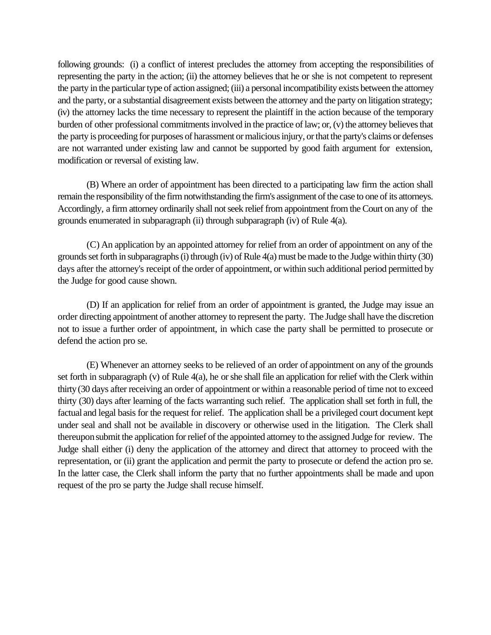following grounds: (i) a conflict of interest precludes the attorney from accepting the responsibilities of representing the party in the action; (ii) the attorney believes that he or she is not competent to represent the party in the particular type of action assigned; (iii) a personal incompatibility exists between the attorney and the party, or a substantial disagreement exists between the attorney and the party on litigation strategy; (iv) the attorney lacks the time necessary to represent the plaintiff in the action because of the temporary burden of other professional commitments involved in the practice of law; or, (v) the attorney believes that the party is proceeding for purposes of harassment or malicious injury, or that the party's claims or defenses are not warranted under existing law and cannot be supported by good faith argument for extension, modification or reversal of existing law.

(B) Where an order of appointment has been directed to a participating law firm the action shall remain the responsibility of the firm notwithstanding the firm's assignment of the case to one of its attorneys. Accordingly, a firm attorney ordinarily shall not seek relief from appointment from the Court on any of the grounds enumerated in subparagraph (ii) through subparagraph (iv) of Rule 4(a).

(C) An application by an appointed attorney for relief from an order of appointment on any of the grounds set forth in subparagraphs (i) through (iv) of Rule 4(a) must be made to the Judge within thirty (30) days after the attorney's receipt of the order of appointment, or within such additional period permitted by the Judge for good cause shown.

(D) If an application for relief from an order of appointment is granted, the Judge may issue an order directing appointment of another attorney to represent the party. The Judge shall have the discretion not to issue a further order of appointment, in which case the party shall be permitted to prosecute or defend the action pro se.

(E) Whenever an attorney seeks to be relieved of an order of appointment on any of the grounds set forth in subparagraph (v) of Rule 4(a), he or she shall file an application for relief with the Clerk within thirty (30 days after receiving an order of appointment or within a reasonable period of time not to exceed thirty (30) days after learning of the facts warranting such relief. The application shall set forth in full, the factual and legal basis for the request for relief. The application shall be a privileged court document kept under seal and shall not be available in discovery or otherwise used in the litigation. The Clerk shall thereupon submit the application for relief of the appointed attorney to the assigned Judge for review. The Judge shall either (i) deny the application of the attorney and direct that attorney to proceed with the representation, or (ii) grant the application and permit the party to prosecute or defend the action pro se. In the latter case, the Clerk shall inform the party that no further appointments shall be made and upon request of the pro se party the Judge shall recuse himself.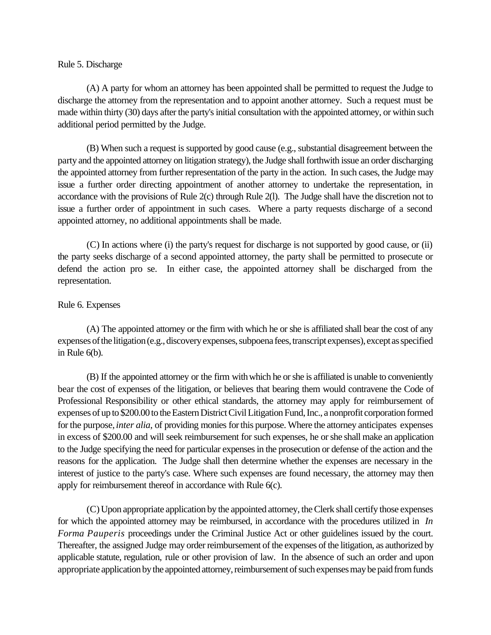#### Rule 5. Discharge

(A) A party for whom an attorney has been appointed shall be permitted to request the Judge to discharge the attorney from the representation and to appoint another attorney. Such a request must be made within thirty (30) days after the party's initial consultation with the appointed attorney, or within such additional period permitted by the Judge.

(B) When such a request is supported by good cause (e.g., substantial disagreement between the party and the appointed attorney on litigation strategy), the Judge shall forthwith issue an order discharging the appointed attorney from further representation of the party in the action. In such cases, the Judge may issue a further order directing appointment of another attorney to undertake the representation, in accordance with the provisions of Rule 2(c) through Rule 2(l). The Judge shall have the discretion not to issue a further order of appointment in such cases. Where a party requests discharge of a second appointed attorney, no additional appointments shall be made.

(C) In actions where (i) the party's request for discharge is not supported by good cause, or (ii) the party seeks discharge of a second appointed attorney, the party shall be permitted to prosecute or defend the action pro se. In either case, the appointed attorney shall be discharged from the representation.

#### Rule 6. Expenses

(A) The appointed attorney or the firm with which he or she is affiliated shall bear the cost of any expenses of the litigation (e.g., discovery expenses, subpoena fees, transcript expenses), except as specified in Rule 6(b).

(B) If the appointed attorney or the firm with which he or she is affiliated is unable to conveniently bear the cost of expenses of the litigation, or believes that bearing them would contravene the Code of Professional Responsibility or other ethical standards, the attorney may apply for reimbursement of expenses of up to \$200.00 to the Eastern District Civil Litigation Fund, Inc., a nonprofit corporation formed for the purpose, *inter alia*, of providing monies for this purpose. Where the attorney anticipates expenses in excess of \$200.00 and will seek reimbursement for such expenses, he or she shall make an application to the Judge specifying the need for particular expenses in the prosecution or defense of the action and the reasons for the application. The Judge shall then determine whether the expenses are necessary in the interest of justice to the party's case. Where such expenses are found necessary, the attorney may then apply for reimbursement thereof in accordance with Rule 6(c).

(C) Upon appropriate application by the appointed attorney, the Clerk shall certify those expenses for which the appointed attorney may be reimbursed, in accordance with the procedures utilized in *In Forma Pauperis* proceedings under the Criminal Justice Act or other guidelines issued by the court. Thereafter, the assigned Judge may order reimbursement of the expenses of the litigation, as authorized by applicable statute, regulation, rule or other provision of law. In the absence of such an order and upon appropriate application by the appointed attorney, reimbursement of such expenses may be paid from funds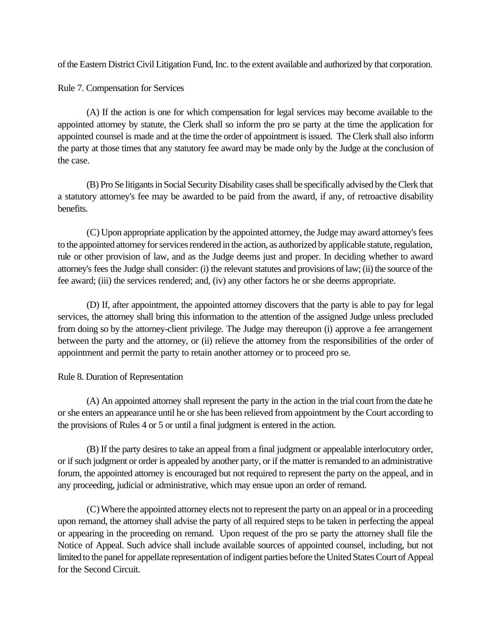of the Eastern District Civil Litigation Fund, Inc. to the extent available and authorized by that corporation.

Rule 7. Compensation for Services

(A) If the action is one for which compensation for legal services may become available to the appointed attorney by statute, the Clerk shall so inform the pro se party at the time the application for appointed counsel is made and at the time the order of appointment is issued. The Clerk shall also inform the party at those times that any statutory fee award may be made only by the Judge at the conclusion of the case.

(B) Pro Se litigants in Social Security Disability cases shall be specifically advised by the Clerk that a statutory attorney's fee may be awarded to be paid from the award, if any, of retroactive disability benefits.

(C) Upon appropriate application by the appointed attorney, the Judge may award attorney's fees to the appointed attorney for services rendered in the action, as authorized by applicable statute, regulation, rule or other provision of law, and as the Judge deems just and proper. In deciding whether to award attorney's fees the Judge shall consider: (i) the relevant statutes and provisions of law; (ii) the source of the fee award; (iii) the services rendered; and, (iv) any other factors he or she deems appropriate.

(D) If, after appointment, the appointed attorney discovers that the party is able to pay for legal services, the attorney shall bring this information to the attention of the assigned Judge unless precluded from doing so by the attorney-client privilege. The Judge may thereupon (i) approve a fee arrangement between the party and the attorney, or (ii) relieve the attorney from the responsibilities of the order of appointment and permit the party to retain another attorney or to proceed pro se.

### Rule 8. Duration of Representation

(A) An appointed attorney shall represent the party in the action in the trial court from the date he or she enters an appearance until he or she has been relieved from appointment by the Court according to the provisions of Rules 4 or 5 or until a final judgment is entered in the action.

(B) If the party desires to take an appeal from a final judgment or appealable interlocutory order, or if such judgment or order is appealed by another party, or if the matter is remanded to an administrative forum, the appointed attorney is encouraged but not required to represent the party on the appeal, and in any proceeding, judicial or administrative, which may ensue upon an order of remand.

(C) Where the appointed attorney elects not to represent the party on an appeal or in a proceeding upon remand, the attorney shall advise the party of all required steps to be taken in perfecting the appeal or appearing in the proceeding on remand. Upon request of the pro se party the attorney shall file the Notice of Appeal. Such advice shall include available sources of appointed counsel, including, but not limited to the panel for appellate representation of indigent parties before the United States Court of Appeal for the Second Circuit.